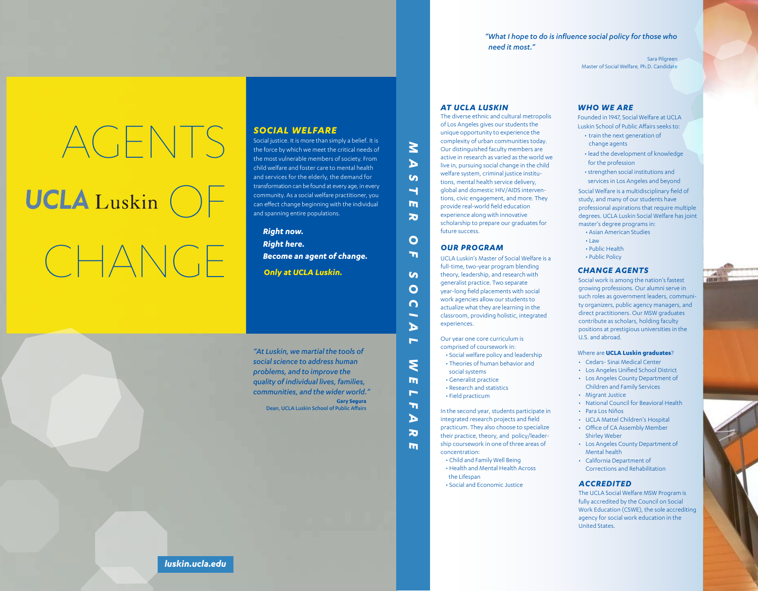*"What I hope to do is influence social policy for those who need it most."*

> Sara Pilgreen Master of Social Welfare, Ph.D. Candidate

# AGENTS  $UCLA$  Luskin  $()$

# CHANGE

#### *SOCIAL WELFARE*

Social justice. It is more than simply a belief. It is the force by which we meet the critical needs of the most vulnerable members of society. From child welfare and foster care to mental health and services for the elderly, the demand for transformation can be found at every age, in every community. As a social welfare practitioner, you can effect change beginning with the individual and spanning entire populations.

*Only at UCLA Luskin. Become an agent of change. Right now. Right here.*

**Gary Segura** Dean, UCLA Luskin School of Public Affairs *"At Luskin, we martial the tools of social science to address human problems, and to improve the quality of individual lives, families, communities, and the wider world."* *AT UCLA LUSKIN*

*M*

*A*  $\boldsymbol{\omega}$ **T** 

*ER OF* 

 $\mathbf O$  $\mathbf{m}$ 

m  $\overline{\mathbf{z}}$ 

 $\mathbf{S}$ *O*

*C I A*

*L W*

*E L F A R E* The diverse ethnic and cultural metropolis of Los Angeles gives our students the unique opportunity to experience the complexity of urban communities today. Our distinguished faculty members are active in research as varied as the world we live in, pursuing social change in the child welfare system, criminal justice institutions, mental health service delivery, global and domestic HIV/AIDS interventions, civic engagement, and more. They provide real-world field education experience along with innovative scholarship to prepare our graduates for future success.

#### *OUR PROGRAM*

UCLA Luskin's Master of Social Welfare is a full-time, two-year program blending theory, leadership, and research with generalist practice. Two separate year-long field placements with social work agencies allow our students to actualize what they are learning in the classroom, providing holistic, integrated experiences.

Our year one core curriculum is comprised of coursework in:

- Social welfare policy and leadership • Theories of human behavior and
- social systems
- Generalist practice • Research and statistics
- Field practicum

In the second year, students participate in integrated research projects and field practicum. They also choose to specialize their practice, theory, and policy/leadership coursework in one of three areas of concentration:

- Child and Family Well Being • Health and Mental Health Across
- the Lifespan • Social and Economic Justice
	-

#### *WHO WE ARE*

Founded in 1947, Social Welfare at UCLA Luskin School of Public Affairs seeks to: • train the next generation of

- change agents
- lead the development of knowledge for the profession •strengthen social institutions and
- services in Los Angeles and beyond

Social Welfare is a multidisciplinary field of study, and many of our students have professional aspirations that require multiple degrees. UCLA Luskin Social Welfare has joint master's degree programs in:

- Asian American Studies
- $\cdot$  Law
- Public Health
- Public Policy

#### *CHANGE AGENTS*

Social work is among the nation's fastest growing professions. Our alumni serve in such roles as government leaders, community organizers, public agency managers, and direct practitioners. Our MSW graduates contribute as scholars, holding faculty positions at prestigious universities in the U.S. and abroad.

#### Where are **UCLA Luskin graduates**?

- Cedars- Sinai Medical Center
- Los Angeles Unified School District
- Los Angeles County Department of Children and Family Services
- Migrant Justice
- National Council for Beavioral Health
- Para Los Niños
- UCLA Mattel Children's Hospital
- Office of CA Assembly Member Shirley Weber
- Los Angeles County Department of Mental health
- California Department of Corrections and Rehabilitation

#### *ACCREDITED*

The UCLA Social Welfare MSW Program is fully accredited by the Council on Social Work Education (CSWE), the sole accrediting agency for social work education in the United States.